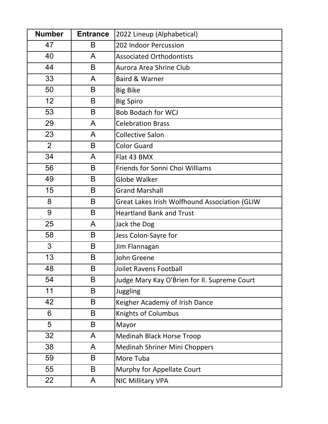| <b>Number</b>  | <b>Entrance</b> | 2022 Lineup (Alphabetical)                    |
|----------------|-----------------|-----------------------------------------------|
| 47             | B               | 202 Indoor Percussion                         |
| 40             | A               | <b>Associated Orthodontists</b>               |
| 44             | B               | Aurora Area Shrine Club                       |
| 33             | A               | Baird & Warner                                |
| 50             | B               | <b>Big Bike</b>                               |
| 12             | B               | <b>Big Spiro</b>                              |
| 53             | B               | <b>Bob Bodach for WCJ</b>                     |
| 29             | A               | <b>Celebration Brass</b>                      |
| 23             | A               | <b>Collective Salon</b>                       |
| $\overline{2}$ | B               | <b>Color Guard</b>                            |
| 34             | A               | Flat 43 BMX                                   |
| 56             | B               | Friends for Sonni Choi Williams               |
| 49             | B               | <b>Globe Walker</b>                           |
| 15             | B               | <b>Grand Marshall</b>                         |
| 8              | B               | Great Lakes Irish Wolfhound Association (GLIW |
| 9              | B               | <b>Heartland Bank and Trust</b>               |
| 25             | A               | Jack the Dog                                  |
| 58             | B               | Jess Colon-Sayre for                          |
| 3              | B               | Jim Flannagan                                 |
| 13             | B               | John Greene                                   |
| 48             | B               | Joilet Ravens Football                        |
| 54             | B               | Judge Mary Kay O'Brien for Il. Supreme Court  |
| 11             | B               | <b>Juggling</b>                               |
| 42             | B               | Keigher Academy of Irish Dance                |
| 6              | B               | Knights of Columbus                           |
| 5              | B               | Mayor                                         |
| 32             | A               | <b>Medinah Black Horse Troop</b>              |
| 38             | A               | <b>Medinah Shriner Mini Choppers</b>          |
| 59             | B               | More Tuba                                     |
| 55             | B               | Murphy for Appellate Court                    |
| 22             | A               | <b>NIC Millitary VPA</b>                      |